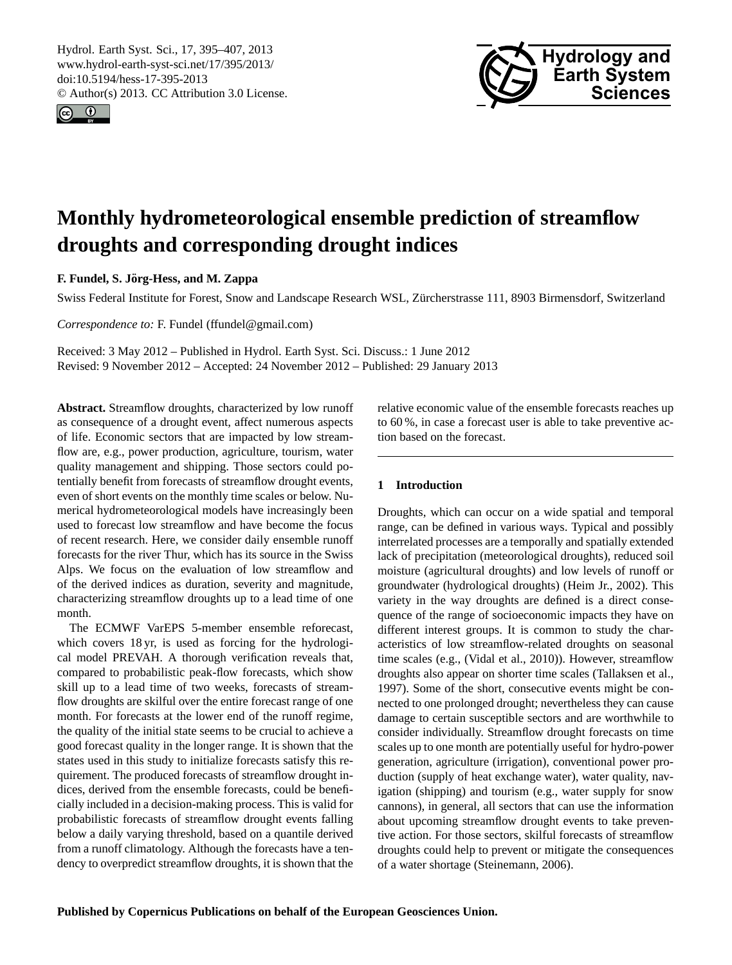<span id="page-0-0"></span>Hydrol. Earth Syst. Sci., 17, 395–407, 2013 www.hydrol-earth-syst-sci.net/17/395/2013/ doi:10.5194/hess-17-395-2013 © Author(s) 2013. CC Attribution 3.0 License.





# **Monthly hydrometeorological ensemble prediction of streamflow droughts and corresponding drought indices**

**F. Fundel, S. Jorg-Hess, and M. Zappa ¨**

Swiss Federal Institute for Forest, Snow and Landscape Research WSL, Zurcherstrasse 111, 8903 Birmensdorf, Switzerland ¨

*Correspondence to:* F. Fundel (ffundel@gmail.com)

Received: 3 May 2012 – Published in Hydrol. Earth Syst. Sci. Discuss.: 1 June 2012 Revised: 9 November 2012 – Accepted: 24 November 2012 – Published: 29 January 2013

**Abstract.** Streamflow droughts, characterized by low runoff as consequence of a drought event, affect numerous aspects of life. Economic sectors that are impacted by low streamflow are, e.g., power production, agriculture, tourism, water quality management and shipping. Those sectors could potentially benefit from forecasts of streamflow drought events, even of short events on the monthly time scales or below. Numerical hydrometeorological models have increasingly been used to forecast low streamflow and have become the focus of recent research. Here, we consider daily ensemble runoff forecasts for the river Thur, which has its source in the Swiss Alps. We focus on the evaluation of low streamflow and of the derived indices as duration, severity and magnitude, characterizing streamflow droughts up to a lead time of one month.

The ECMWF VarEPS 5-member ensemble reforecast, which covers 18 yr, is used as forcing for the hydrological model PREVAH. A thorough verification reveals that, compared to probabilistic peak-flow forecasts, which show skill up to a lead time of two weeks, forecasts of streamflow droughts are skilful over the entire forecast range of one month. For forecasts at the lower end of the runoff regime, the quality of the initial state seems to be crucial to achieve a good forecast quality in the longer range. It is shown that the states used in this study to initialize forecasts satisfy this requirement. The produced forecasts of streamflow drought indices, derived from the ensemble forecasts, could be beneficially included in a decision-making process. This is valid for probabilistic forecasts of streamflow drought events falling below a daily varying threshold, based on a quantile derived from a runoff climatology. Although the forecasts have a tendency to overpredict streamflow droughts, it is shown that the relative economic value of the ensemble forecasts reaches up to 60 %, in case a forecast user is able to take preventive action based on the forecast.

# **1 Introduction**

Droughts, which can occur on a wide spatial and temporal range, can be defined in various ways. Typical and possibly interrelated processes are a temporally and spatially extended lack of precipitation (meteorological droughts), reduced soil moisture (agricultural droughts) and low levels of runoff or groundwater (hydrological droughts) [\(Heim Jr.,](#page-11-0) [2002\)](#page-11-0). This variety in the way droughts are defined is a direct consequence of the range of socioeconomic impacts they have on different interest groups. It is common to study the characteristics of low streamflow-related droughts on seasonal time scales (e.g., [\(Vidal et al.,](#page-12-0) [2010\)](#page-12-0)). However, streamflow droughts also appear on shorter time scales [\(Tallaksen et al.,](#page-12-1) [1997\)](#page-12-1). Some of the short, consecutive events might be connected to one prolonged drought; nevertheless they can cause damage to certain susceptible sectors and are worthwhile to consider individually. Streamflow drought forecasts on time scales up to one month are potentially useful for hydro-power generation, agriculture (irrigation), conventional power production (supply of heat exchange water), water quality, navigation (shipping) and tourism (e.g., water supply for snow cannons), in general, all sectors that can use the information about upcoming streamflow drought events to take preventive action. For those sectors, skilful forecasts of streamflow droughts could help to prevent or mitigate the consequences of a water shortage [\(Steinemann,](#page-12-2) [2006\)](#page-12-2).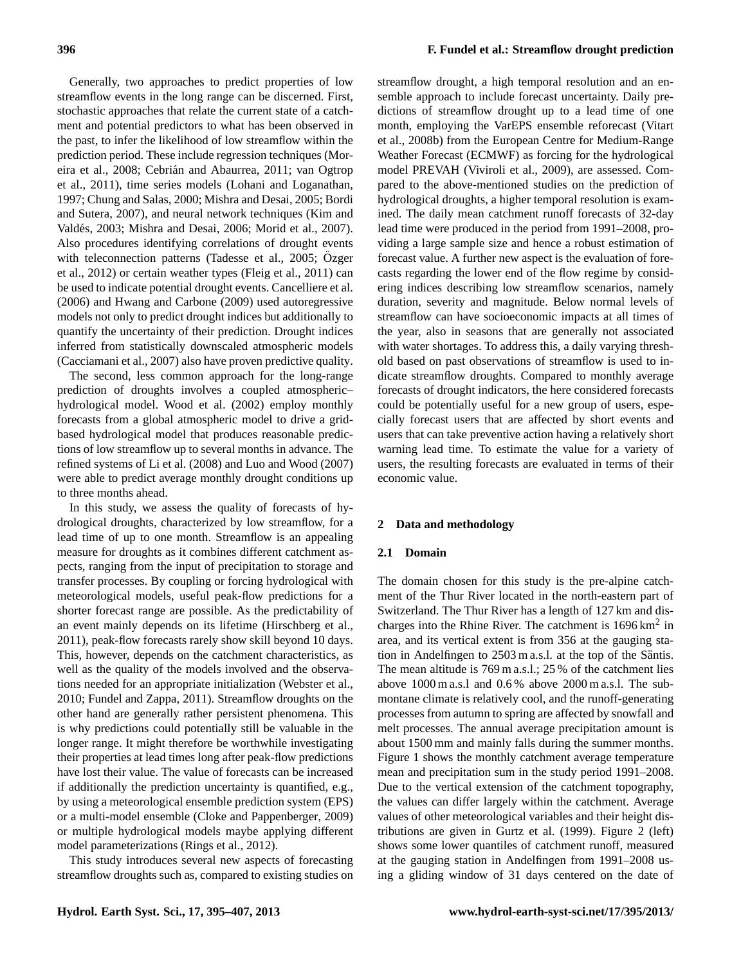Generally, two approaches to predict properties of low streamflow events in the long range can be discerned. First, stochastic approaches that relate the current state of a catchment and potential predictors to what has been observed in the past, to infer the likelihood of low streamflow within the prediction period. These include regression techniques [\(Mor](#page-11-1)[eira et al.,](#page-11-1) [2008;](#page-11-1) Cebrián and Abaurrea, [2011;](#page-11-2) [van Ogtrop](#page-12-3) [et al.,](#page-12-3) [2011\)](#page-12-3), time series models [\(Lohani and Loganathan,](#page-11-3) [1997;](#page-11-3) [Chung and Salas,](#page-11-4) [2000;](#page-11-4) [Mishra and Desai,](#page-11-5) [2005;](#page-11-5) [Bordi](#page-11-6) [and Sutera,](#page-11-6) [2007\)](#page-11-6), and neural network techniques [\(Kim and](#page-11-7) Valdés, [2003;](#page-11-7) [Mishra and Desai,](#page-11-8) [2006;](#page-11-8) [Morid et al.,](#page-12-4) [2007\)](#page-12-4). Also procedures identifying correlations of drought events with teleconnection patterns [\(Tadesse et al.,](#page-12-5) [2005;](#page-12-5) Özger [et al.,](#page-12-6) [2012\)](#page-12-6) or certain weather types [\(Fleig et al.,](#page-11-9) [2011\)](#page-11-9) can be used to indicate potential drought events. [Cancelliere et al.](#page-11-10) [\(2006\)](#page-11-10) and [Hwang and Carbone](#page-11-11) [\(2009\)](#page-11-11) used autoregressive models not only to predict drought indices but additionally to quantify the uncertainty of their prediction. Drought indices inferred from statistically downscaled atmospheric models [\(Cacciamani et al.,](#page-11-12) [2007\)](#page-11-12) also have proven predictive quality.

The second, less common approach for the long-range prediction of droughts involves a coupled atmospheric– hydrological model. [Wood et al.](#page-12-7) [\(2002\)](#page-12-7) employ monthly forecasts from a global atmospheric model to drive a gridbased hydrological model that produces reasonable predictions of low streamflow up to several months in advance. The refined systems of [Li et al.](#page-11-13) [\(2008\)](#page-11-13) and [Luo and Wood](#page-11-14) [\(2007\)](#page-11-14) were able to predict average monthly drought conditions up to three months ahead.

In this study, we assess the quality of forecasts of hydrological droughts, characterized by low streamflow, for a lead time of up to one month. Streamflow is an appealing measure for droughts as it combines different catchment aspects, ranging from the input of precipitation to storage and transfer processes. By coupling or forcing hydrological with meteorological models, useful peak-flow predictions for a shorter forecast range are possible. As the predictability of an event mainly depends on its lifetime [\(Hirschberg et al.,](#page-11-15) [2011\)](#page-11-15), peak-flow forecasts rarely show skill beyond 10 days. This, however, depends on the catchment characteristics, as well as the quality of the models involved and the observations needed for an appropriate initialization [\(Webster et al.,](#page-12-8) [2010;](#page-12-8) [Fundel and Zappa,](#page-11-16) [2011\)](#page-11-16). Streamflow droughts on the other hand are generally rather persistent phenomena. This is why predictions could potentially still be valuable in the longer range. It might therefore be worthwhile investigating their properties at lead times long after peak-flow predictions have lost their value. The value of forecasts can be increased if additionally the prediction uncertainty is quantified, e.g., by using a meteorological ensemble prediction system (EPS) or a multi-model ensemble [\(Cloke and Pappenberger,](#page-11-17) [2009\)](#page-11-17) or multiple hydrological models maybe applying different model parameterizations [\(Rings et al.,](#page-12-9) [2012\)](#page-12-9).

This study introduces several new aspects of forecasting streamflow droughts such as, compared to existing studies on

streamflow drought, a high temporal resolution and an ensemble approach to include forecast uncertainty. Daily predictions of streamflow drought up to a lead time of one month, employing the VarEPS ensemble reforecast [\(Vitart](#page-12-10) [et al.,](#page-12-10) [2008b\)](#page-12-10) from the European Centre for Medium-Range Weather Forecast (ECMWF) as forcing for the hydrological model PREVAH [\(Viviroli et al.,](#page-12-11) [2009\)](#page-12-11), are assessed. Compared to the above-mentioned studies on the prediction of hydrological droughts, a higher temporal resolution is examined. The daily mean catchment runoff forecasts of 32-day lead time were produced in the period from 1991–2008, providing a large sample size and hence a robust estimation of forecast value. A further new aspect is the evaluation of forecasts regarding the lower end of the flow regime by considering indices describing low streamflow scenarios, namely duration, severity and magnitude. Below normal levels of streamflow can have socioeconomic impacts at all times of the year, also in seasons that are generally not associated with water shortages. To address this, a daily varying threshold based on past observations of streamflow is used to indicate streamflow droughts. Compared to monthly average forecasts of drought indicators, the here considered forecasts could be potentially useful for a new group of users, especially forecast users that are affected by short events and users that can take preventive action having a relatively short warning lead time. To estimate the value for a variety of users, the resulting forecasts are evaluated in terms of their economic value.

## **2 Data and methodology**

#### **2.1 Domain**

The domain chosen for this study is the pre-alpine catchment of the Thur River located in the north-eastern part of Switzerland. The Thur River has a length of 127 km and discharges into the Rhine River. The catchment is  $1696 \text{ km}^2$  in area, and its vertical extent is from 356 at the gauging station in Andelfingen to 2503 m a.s.l. at the top of the Säntis. The mean altitude is 769 m a.s.l.; 25 % of the catchment lies above 1000 m a.s.l and 0.6 % above 2000 m a.s.l. The submontane climate is relatively cool, and the runoff-generating processes from autumn to spring are affected by snowfall and melt processes. The annual average precipitation amount is about 1500 mm and mainly falls during the summer months. Figure [1](#page-2-0) shows the monthly catchment average temperature mean and precipitation sum in the study period 1991–2008. Due to the vertical extension of the catchment topography, the values can differ largely within the catchment. Average values of other meteorological variables and their height distributions are given in [Gurtz et al.](#page-11-18) [\(1999\)](#page-11-18). Figure [2](#page-3-0) (left) shows some lower quantiles of catchment runoff, measured at the gauging station in Andelfingen from 1991–2008 using a gliding window of 31 days centered on the date of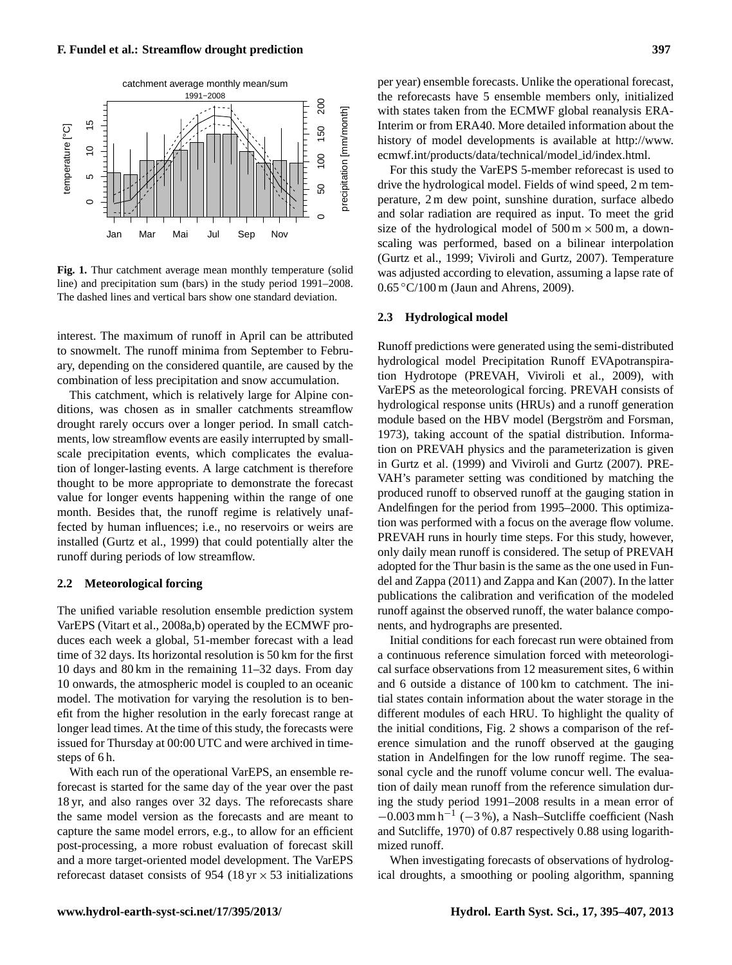

<span id="page-2-0"></span>**Fig. 1.** Thur catchment average mean monthly temperature (solid line) and precipitation sum (bars) in the study period 1991–2008. The dashed lines and vertical bars show one standard deviation.

interest. The maximum of runoff in April can be attributed to snowmelt. The runoff minima from September to February, depending on the considered quantile, are caused by the combination of less precipitation and snow accumulation.

This catchment, which is relatively large for Alpine conditions, was chosen as in smaller catchments streamflow drought rarely occurs over a longer period. In small catchments, low streamflow events are easily interrupted by smallscale precipitation events, which complicates the evaluation of longer-lasting events. A large catchment is therefore thought to be more appropriate to demonstrate the forecast value for longer events happening within the range of one month. Besides that, the runoff regime is relatively unaffected by human influences; i.e., no reservoirs or weirs are installed [\(Gurtz et al.,](#page-11-18) [1999\)](#page-11-18) that could potentially alter the runoff during periods of low streamflow.

#### **2.2 Meteorological forcing**

The unified variable resolution ensemble prediction system VarEPS [\(Vitart et al.,](#page-12-12) [2008a,](#page-12-12)[b\)](#page-12-10) operated by the ECMWF produces each week a global, 51-member forecast with a lead time of 32 days. Its horizontal resolution is 50 km for the first 10 days and 80 km in the remaining 11–32 days. From day 10 onwards, the atmospheric model is coupled to an oceanic model. The motivation for varying the resolution is to benefit from the higher resolution in the early forecast range at longer lead times. At the time of this study, the forecasts were issued for Thursday at 00:00 UTC and were archived in timesteps of 6 h.

With each run of the operational VarEPS, an ensemble reforecast is started for the same day of the year over the past 18 yr, and also ranges over 32 days. The reforecasts share the same model version as the forecasts and are meant to capture the same model errors, e.g., to allow for an efficient post-processing, a more robust evaluation of forecast skill and a more target-oriented model development. The VarEPS reforecast dataset consists of 954 (18 yr  $\times$  53 initializations per year) ensemble forecasts. Unlike the operational forecast, the reforecasts have 5 ensemble members only, initialized with states taken from the ECMWF global reanalysis ERA-Interim or from ERA40. More detailed information about the history of model developments is available at [http://www.](http://www.ecmwf.int/products/data/technical/model_id/index.html) [ecmwf.int/products/data/technical/model](http://www.ecmwf.int/products/data/technical/model_id/index.html) id/index.html.

For this study the VarEPS 5-member reforecast is used to drive the hydrological model. Fields of wind speed, 2 m temperature, 2 m dew point, sunshine duration, surface albedo and solar radiation are required as input. To meet the grid size of the hydrological model of  $500 \text{ m} \times 500 \text{ m}$ , a downscaling was performed, based on a bilinear interpolation [\(Gurtz et al.,](#page-11-18) [1999;](#page-11-18) [Viviroli and Gurtz,](#page-12-13) [2007\)](#page-12-13). Temperature was adjusted according to elevation, assuming a lapse rate of 0.65 ◦C/100 m [\(Jaun and Ahrens,](#page-11-19) [2009\)](#page-11-19).

#### **2.3 Hydrological model**

Runoff predictions were generated using the semi-distributed hydrological model Precipitation Runoff EVApotranspiration Hydrotope (PREVAH, [Viviroli et al.,](#page-12-11) [2009\)](#page-12-11), with VarEPS as the meteorological forcing. PREVAH consists of hydrological response units (HRUs) and a runoff generation module based on the HBV model (Bergström and Forsman, [1973\)](#page-11-20), taking account of the spatial distribution. Information on PREVAH physics and the parameterization is given in [Gurtz et al.](#page-11-18) [\(1999\)](#page-11-18) and [Viviroli and Gurtz](#page-12-13) [\(2007\)](#page-12-13). PRE-VAH's parameter setting was conditioned by matching the produced runoff to observed runoff at the gauging station in Andelfingen for the period from 1995–2000. This optimization was performed with a focus on the average flow volume. PREVAH runs in hourly time steps. For this study, however, only daily mean runoff is considered. The setup of PREVAH adopted for the Thur basin is the same as the one used in [Fun](#page-11-16)[del and Zappa](#page-11-16) [\(2011\)](#page-11-16) and [Zappa and Kan](#page-12-14) [\(2007\)](#page-12-14). In the latter publications the calibration and verification of the modeled runoff against the observed runoff, the water balance components, and hydrographs are presented.

Initial conditions for each forecast run were obtained from a continuous reference simulation forced with meteorological surface observations from 12 measurement sites, 6 within and 6 outside a distance of 100 km to catchment. The initial states contain information about the water storage in the different modules of each HRU. To highlight the quality of the initial conditions, Fig. [2](#page-3-0) shows a comparison of the reference simulation and the runoff observed at the gauging station in Andelfingen for the low runoff regime. The seasonal cycle and the runoff volume concur well. The evaluation of daily mean runoff from the reference simulation during the study period 1991–2008 results in a mean error of  $-0.003$  mm h<sup>-1</sup> (-3%), a Nash-Sutcliffe coefficient [\(Nash](#page-12-15) [and Sutcliffe,](#page-12-15) [1970\)](#page-12-15) of 0.87 respectively 0.88 using logarithmized runoff.

When investigating forecasts of observations of hydrological droughts, a smoothing or pooling algorithm, spanning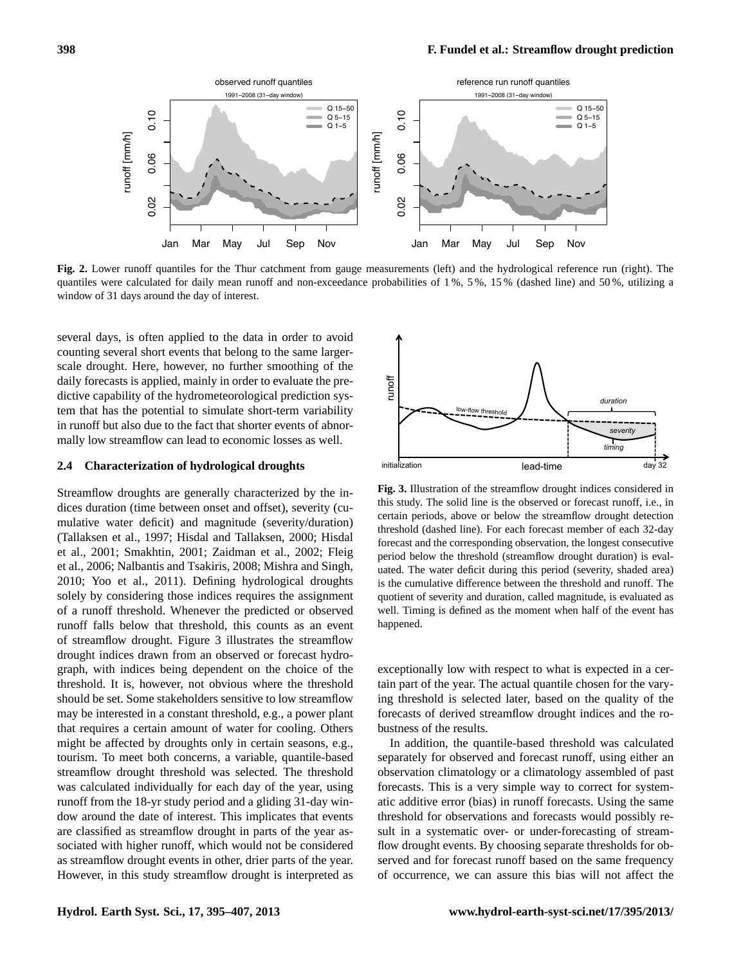

<span id="page-3-0"></span>**Fig. 2.** Lower runoff quantiles for the Thur catchment from gauge measurements (left) and the hydrological reference run (right). The quantiles were calculated for daily mean runoff and non-exceedance probabilities of 1 %, 5 %, 15 % (dashed line) and 50 %, utilizing a window of 31 days around the day of interest.

several days, is often applied to the data in order to avoid counting several short events that belong to the same largerscale drought. Here, however, no further smoothing of the daily forecasts is applied, mainly in order to evaluate the predictive capability of the hydrometeorological prediction system that has the potential to simulate short-term variability in runoff but also due to the fact that shorter events of abnormally low streamflow can lead to economic losses as well.

#### <span id="page-3-2"></span>**2.4 Characterization of hydrological droughts**

Streamflow droughts are generally characterized by the indices duration (time between onset and offset), severity (cumulative water deficit) and magnitude (severity/duration) [\(Tallaksen et al.,](#page-12-1) [1997;](#page-12-1) [Hisdal and Tallaksen,](#page-11-21) [2000;](#page-11-21) [Hisdal](#page-11-22) [et al.,](#page-11-22) [2001;](#page-11-22) [Smakhtin,](#page-12-16) [2001;](#page-12-16) [Zaidman et al.,](#page-12-17) [2002;](#page-12-17) [Fleig](#page-11-23) [et al.,](#page-11-23) [2006;](#page-11-23) [Nalbantis and Tsakiris,](#page-12-18) [2008;](#page-12-18) [Mishra and Singh,](#page-11-24) [2010;](#page-11-24) [Yoo et al.,](#page-12-19) [2011\)](#page-12-19). Defining hydrological droughts solely by considering those indices requires the assignment of a runoff threshold. Whenever the predicted or observed runoff falls below that threshold, this counts as an event of streamflow drought. Figure [3](#page-3-1) illustrates the streamflow drought indices drawn from an observed or forecast hydrograph, with indices being dependent on the choice of the threshold. It is, however, not obvious where the threshold should be set. Some stakeholders sensitive to low streamflow may be interested in a constant threshold, e.g., a power plant that requires a certain amount of water for cooling. Others might be affected by droughts only in certain seasons, e.g., tourism. To meet both concerns, a variable, quantile-based streamflow drought threshold was selected. The threshold was calculated individually for each day of the year, using runoff from the 18-yr study period and a gliding 31-day window around the date of interest. This implicates that events are classified as streamflow drought in parts of the year associated with higher runoff, which would not be considered as streamflow drought events in other, drier parts of the year. However, in this study streamflow drought is interpreted as



<span id="page-3-1"></span>**Fig. 3.** Illustration of the streamflow drought indices considered in this study. The solid line is the observed or forecast runoff, i.e., in certain periods, above or below the streamflow drought detection threshold (dashed line). For each forecast member of each 32-day forecast and the corresponding observation, the longest consecutive period below the threshold (streamflow drought duration) is evaluated. The water deficit during this period (severity, shaded area) is the cumulative difference between the threshold and runoff. The quotient of severity and duration, called magnitude, is evaluated as well. Timing is defined as the moment when half of the event has happened.

exceptionally low with respect to what is expected in a certain part of the year. The actual quantile chosen for the varying threshold is selected later, based on the quality of the forecasts of derived streamflow drought indices and the robustness of the results.

In addition, the quantile-based threshold was calculated separately for observed and forecast runoff, using either an observation climatology or a climatology assembled of past forecasts. This is a very simple way to correct for systematic additive error (bias) in runoff forecasts. Using the same threshold for observations and forecasts would possibly result in a systematic over- or under-forecasting of streamflow drought events. By choosing separate thresholds for observed and for forecast runoff based on the same frequency of occurrence, we can assure this bias will not affect the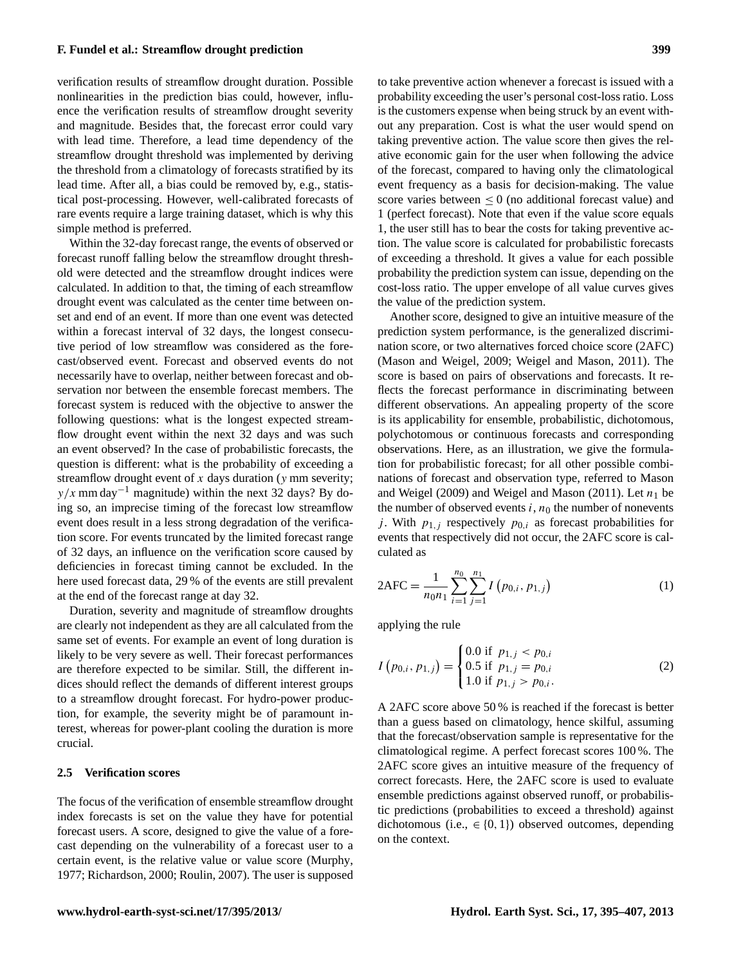verification results of streamflow drought duration. Possible nonlinearities in the prediction bias could, however, influence the verification results of streamflow drought severity and magnitude. Besides that, the forecast error could vary with lead time. Therefore, a lead time dependency of the streamflow drought threshold was implemented by deriving the threshold from a climatology of forecasts stratified by its lead time. After all, a bias could be removed by, e.g., statistical post-processing. However, well-calibrated forecasts of rare events require a large training dataset, which is why this simple method is preferred.

Within the 32-day forecast range, the events of observed or forecast runoff falling below the streamflow drought threshold were detected and the streamflow drought indices were calculated. In addition to that, the timing of each streamflow drought event was calculated as the center time between onset and end of an event. If more than one event was detected within a forecast interval of 32 days, the longest consecutive period of low streamflow was considered as the forecast/observed event. Forecast and observed events do not necessarily have to overlap, neither between forecast and observation nor between the ensemble forecast members. The forecast system is reduced with the objective to answer the following questions: what is the longest expected streamflow drought event within the next 32 days and was such an event observed? In the case of probabilistic forecasts, the question is different: what is the probability of exceeding a streamflow drought event of  $x$  days duration ( $y$  mm severity;  $y/x$  mm day<sup>-1</sup> magnitude) within the next 32 days? By doing so, an imprecise timing of the forecast low streamflow event does result in a less strong degradation of the verification score. For events truncated by the limited forecast range of 32 days, an influence on the verification score caused by deficiencies in forecast timing cannot be excluded. In the here used forecast data, 29 % of the events are still prevalent at the end of the forecast range at day 32.

Duration, severity and magnitude of streamflow droughts are clearly not independent as they are all calculated from the same set of events. For example an event of long duration is likely to be very severe as well. Their forecast performances are therefore expected to be similar. Still, the different indices should reflect the demands of different interest groups to a streamflow drought forecast. For hydro-power production, for example, the severity might be of paramount interest, whereas for power-plant cooling the duration is more crucial.

## **2.5 Verification scores**

The focus of the verification of ensemble streamflow drought index forecasts is set on the value they have for potential forecast users. A score, designed to give the value of a forecast depending on the vulnerability of a forecast user to a certain event, is the relative value or value score [\(Murphy,](#page-12-20) [1977;](#page-12-20) [Richardson,](#page-12-21) [2000;](#page-12-21) [Roulin,](#page-12-22) [2007\)](#page-12-22). The user is supposed

to take preventive action whenever a forecast is issued with a probability exceeding the user's personal cost-loss ratio. Loss is the customers expense when being struck by an event without any preparation. Cost is what the user would spend on taking preventive action. The value score then gives the relative economic gain for the user when following the advice of the forecast, compared to having only the climatological event frequency as a basis for decision-making. The value score varies between  $\leq 0$  (no additional forecast value) and 1 (perfect forecast). Note that even if the value score equals 1, the user still has to bear the costs for taking preventive action. The value score is calculated for probabilistic forecasts of exceeding a threshold. It gives a value for each possible probability the prediction system can issue, depending on the cost-loss ratio. The upper envelope of all value curves gives the value of the prediction system.

Another score, designed to give an intuitive measure of the prediction system performance, is the generalized discrimination score, or two alternatives forced choice score (2AFC) [\(Mason and Weigel,](#page-11-25) [2009;](#page-11-25) [Weigel and Mason,](#page-12-23) [2011\)](#page-12-23). The score is based on pairs of observations and forecasts. It reflects the forecast performance in discriminating between different observations. An appealing property of the score is its applicability for ensemble, probabilistic, dichotomous, polychotomous or continuous forecasts and corresponding observations. Here, as an illustration, we give the formulation for probabilistic forecast; for all other possible combinations of forecast and observation type, referred to [Mason](#page-11-25) [and Weigel](#page-11-25) [\(2009\)](#page-11-25) and [Weigel and Mason](#page-12-23) [\(2011\)](#page-12-23). Let  $n_1$  be the number of observed events  $i, n_0$  the number of nonevents j. With  $p_{1,i}$  respectively  $p_{0,i}$  as forecast probabilities for events that respectively did not occur, the 2AFC score is calculated as

$$
2AFC = \frac{1}{n_0 n_1} \sum_{i=1}^{n_0} \sum_{j=1}^{n_1} I(p_{0,i}, p_{1,j})
$$
 (1)

applying the rule

$$
I(p_{0,i}, p_{1,j}) = \begin{cases} 0.0 \text{ if } p_{1,j} < p_{0,i} \\ 0.5 \text{ if } p_{1,j} = p_{0,i} \\ 1.0 \text{ if } p_{1,j} > p_{0,i}. \end{cases} \tag{2}
$$

A 2AFC score above 50 % is reached if the forecast is better than a guess based on climatology, hence skilful, assuming that the forecast/observation sample is representative for the climatological regime. A perfect forecast scores 100 %. The 2AFC score gives an intuitive measure of the frequency of correct forecasts. Here, the 2AFC score is used to evaluate ensemble predictions against observed runoff, or probabilistic predictions (probabilities to exceed a threshold) against dichotomous (i.e.,  $\in \{0, 1\}$ ) observed outcomes, depending on the context.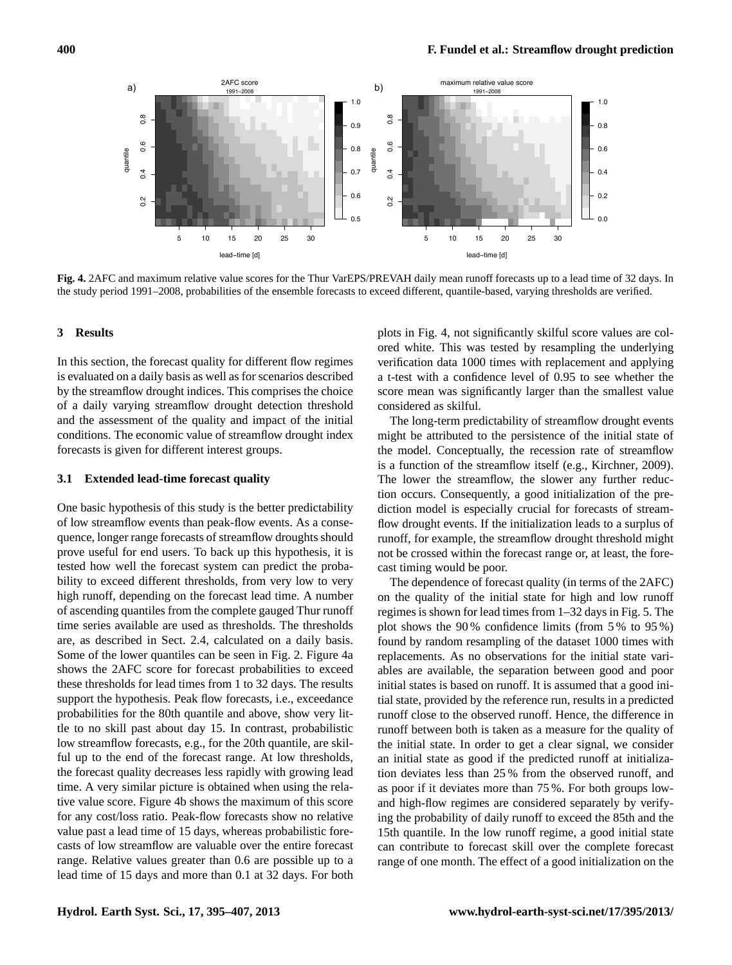

<span id="page-5-0"></span>**Fig. 4.** 2AFC and maximum relative value scores for the Thur VarEPS/PREVAH daily mean runoff forecasts up to a lead time of 32 days. In the study period 1991–2008, probabilities of the ensemble forecasts to exceed different, quantile-based, varying thresholds are verified.

# **3 Results**

In this section, the forecast quality for different flow regimes is evaluated on a daily basis as well as for scenarios described by the streamflow drought indices. This comprises the choice of a daily varying streamflow drought detection threshold and the assessment of the quality and impact of the initial conditions. The economic value of streamflow drought index forecasts is given for different interest groups.

## **3.1 Extended lead-time forecast quality**

One basic hypothesis of this study is the better predictability of low streamflow events than peak-flow events. As a consequence, longer range forecasts of streamflow droughts should prove useful for end users. To back up this hypothesis, it is tested how well the forecast system can predict the probability to exceed different thresholds, from very low to very high runoff, depending on the forecast lead time. A number of ascending quantiles from the complete gauged Thur runoff time series available are used as thresholds. The thresholds are, as described in Sect. [2.4,](#page-3-2) calculated on a daily basis. Some of the lower quantiles can be seen in Fig. [2.](#page-3-0) Figure [4a](#page-5-0) shows the 2AFC score for forecast probabilities to exceed these thresholds for lead times from 1 to 32 days. The results support the hypothesis. Peak flow forecasts, i.e., exceedance probabilities for the 80th quantile and above, show very little to no skill past about day 15. In contrast, probabilistic low streamflow forecasts, e.g., for the 20th quantile, are skilful up to the end of the forecast range. At low thresholds, the forecast quality decreases less rapidly with growing lead time. A very similar picture is obtained when using the relative value score. Figure [4b](#page-5-0) shows the maximum of this score for any cost/loss ratio. Peak-flow forecasts show no relative value past a lead time of 15 days, whereas probabilistic forecasts of low streamflow are valuable over the entire forecast range. Relative values greater than 0.6 are possible up to a lead time of 15 days and more than 0.1 at 32 days. For both plots in Fig. [4,](#page-5-0) not significantly skilful score values are colored white. This was tested by resampling the underlying verification data 1000 times with replacement and applying a t-test with a confidence level of 0.95 to see whether the score mean was significantly larger than the smallest value considered as skilful.

The long-term predictability of streamflow drought events might be attributed to the persistence of the initial state of the model. Conceptually, the recession rate of streamflow is a function of the streamflow itself (e.g., [Kirchner,](#page-11-26) [2009\)](#page-11-26). The lower the streamflow, the slower any further reduction occurs. Consequently, a good initialization of the prediction model is especially crucial for forecasts of streamflow drought events. If the initialization leads to a surplus of runoff, for example, the streamflow drought threshold might not be crossed within the forecast range or, at least, the forecast timing would be poor.

The dependence of forecast quality (in terms of the 2AFC) on the quality of the initial state for high and low runoff regimes is shown for lead times from 1–32 days in Fig. [5.](#page-6-0) The plot shows the 90 % confidence limits (from 5 % to 95 %) found by random resampling of the dataset 1000 times with replacements. As no observations for the initial state variables are available, the separation between good and poor initial states is based on runoff. It is assumed that a good initial state, provided by the reference run, results in a predicted runoff close to the observed runoff. Hence, the difference in runoff between both is taken as a measure for the quality of the initial state. In order to get a clear signal, we consider an initial state as good if the predicted runoff at initialization deviates less than 25 % from the observed runoff, and as poor if it deviates more than 75 %. For both groups lowand high-flow regimes are considered separately by verifying the probability of daily runoff to exceed the 85th and the 15th quantile. In the low runoff regime, a good initial state can contribute to forecast skill over the complete forecast range of one month. The effect of a good initialization on the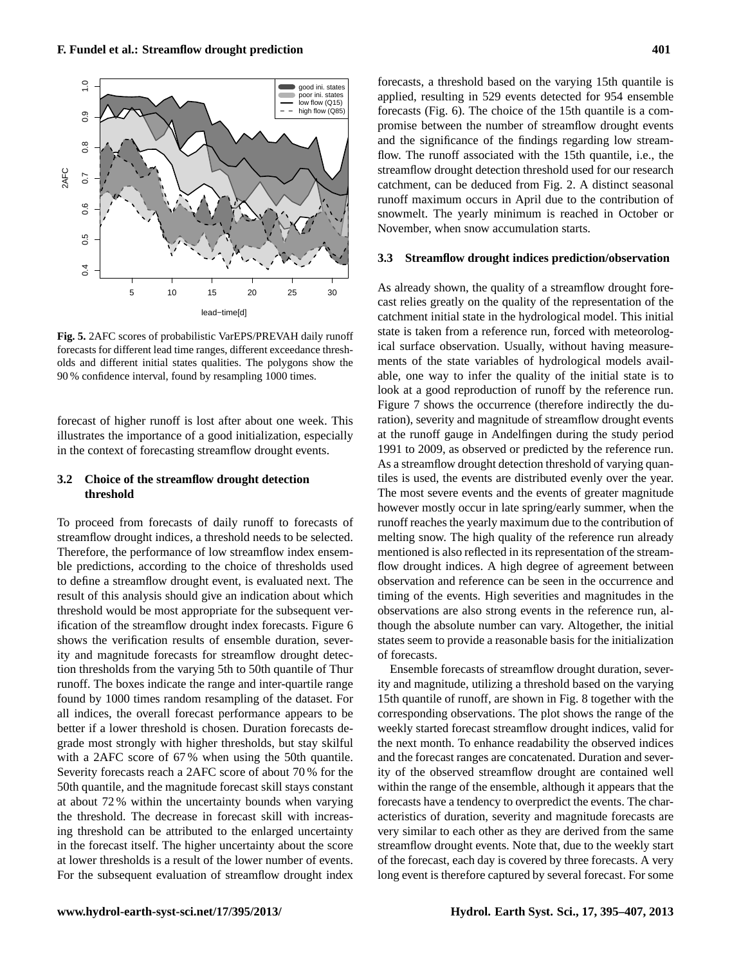

<span id="page-6-0"></span>**Fig. 5.** 2AFC scores of probabilistic VarEPS/PREVAH daily runoff forecasts for different lead time ranges, different exceedance thresholds and different initial states qualities. The polygons show the 90 % confidence interval, found by resampling 1000 times.

forecast of higher runoff is lost after about one week. This illustrates the importance of a good initialization, especially in the context of forecasting streamflow drought events.

# **3.2 Choice of the streamflow drought detection threshold**

To proceed from forecasts of daily runoff to forecasts of streamflow drought indices, a threshold needs to be selected. Therefore, the performance of low streamflow index ensemble predictions, according to the choice of thresholds used to define a streamflow drought event, is evaluated next. The result of this analysis should give an indication about which threshold would be most appropriate for the subsequent verification of the streamflow drought index forecasts. Figure [6](#page-7-0) shows the verification results of ensemble duration, severity and magnitude forecasts for streamflow drought detection thresholds from the varying 5th to 50th quantile of Thur runoff. The boxes indicate the range and inter-quartile range found by 1000 times random resampling of the dataset. For all indices, the overall forecast performance appears to be better if a lower threshold is chosen. Duration forecasts degrade most strongly with higher thresholds, but stay skilful with a 2AFC score of 67 % when using the 50th quantile. Severity forecasts reach a 2AFC score of about 70 % for the 50th quantile, and the magnitude forecast skill stays constant at about 72 % within the uncertainty bounds when varying the threshold. The decrease in forecast skill with increasing threshold can be attributed to the enlarged uncertainty in the forecast itself. The higher uncertainty about the score at lower thresholds is a result of the lower number of events. For the subsequent evaluation of streamflow drought index

forecasts, a threshold based on the varying 15th quantile is applied, resulting in 529 events detected for 954 ensemble forecasts (Fig. [6\)](#page-7-0). The choice of the 15th quantile is a compromise between the number of streamflow drought events and the significance of the findings regarding low streamflow. The runoff associated with the 15th quantile, i.e., the streamflow drought detection threshold used for our research catchment, can be deduced from Fig. [2.](#page-3-0) A distinct seasonal runoff maximum occurs in April due to the contribution of snowmelt. The yearly minimum is reached in October or November, when snow accumulation starts.

## **3.3 Streamflow drought indices prediction/observation**

As already shown, the quality of a streamflow drought forecast relies greatly on the quality of the representation of the catchment initial state in the hydrological model. This initial state is taken from a reference run, forced with meteorological surface observation. Usually, without having measurements of the state variables of hydrological models available, one way to infer the quality of the initial state is to look at a good reproduction of runoff by the reference run. Figure [7](#page-8-0) shows the occurrence (therefore indirectly the duration), severity and magnitude of streamflow drought events at the runoff gauge in Andelfingen during the study period 1991 to 2009, as observed or predicted by the reference run. As a streamflow drought detection threshold of varying quantiles is used, the events are distributed evenly over the year. The most severe events and the events of greater magnitude however mostly occur in late spring/early summer, when the runoff reaches the yearly maximum due to the contribution of melting snow. The high quality of the reference run already mentioned is also reflected in its representation of the streamflow drought indices. A high degree of agreement between observation and reference can be seen in the occurrence and timing of the events. High severities and magnitudes in the observations are also strong events in the reference run, although the absolute number can vary. Altogether, the initial states seem to provide a reasonable basis for the initialization of forecasts.

Ensemble forecasts of streamflow drought duration, severity and magnitude, utilizing a threshold based on the varying 15th quantile of runoff, are shown in Fig. [8](#page-8-1) together with the corresponding observations. The plot shows the range of the weekly started forecast streamflow drought indices, valid for the next month. To enhance readability the observed indices and the forecast ranges are concatenated. Duration and severity of the observed streamflow drought are contained well within the range of the ensemble, although it appears that the forecasts have a tendency to overpredict the events. The characteristics of duration, severity and magnitude forecasts are very similar to each other as they are derived from the same streamflow drought events. Note that, due to the weekly start of the forecast, each day is covered by three forecasts. A very long event is therefore captured by several forecast. For some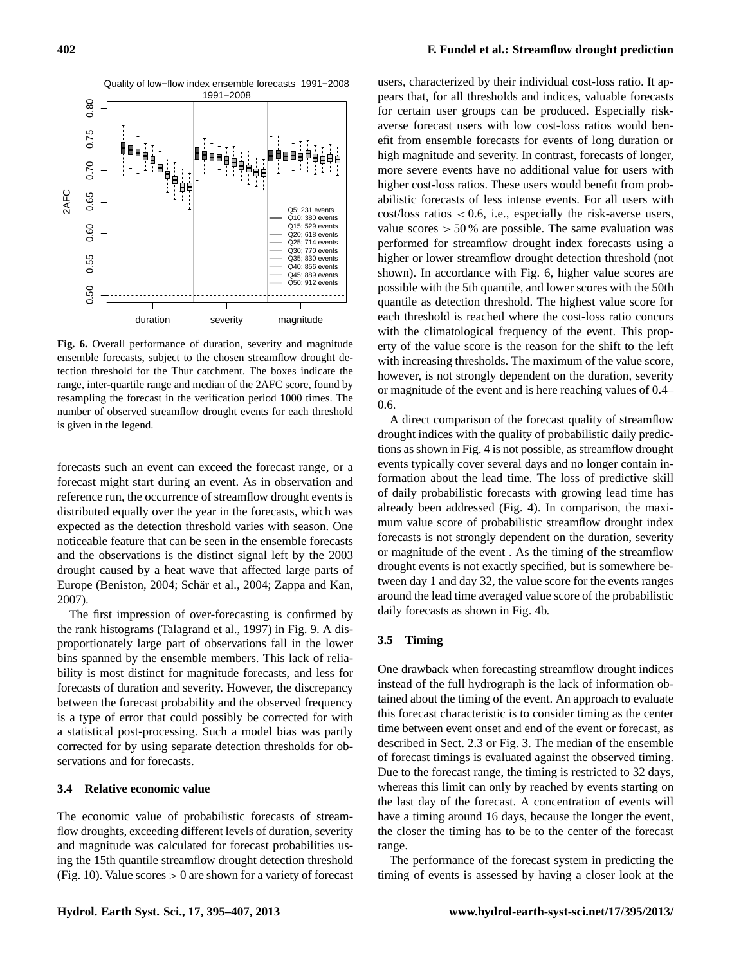

<span id="page-7-0"></span>**Fig. 6.** Overall performance of duration, severity and magnitude ensemble forecasts, subject to the chosen streamflow drought detection threshold for the Thur catchment. The boxes indicate the range, inter-quartile range and median of the 2AFC score, found by resampling the forecast in the verification period 1000 times. The number of observed streamflow drought events for each threshold is given in the legend.

forecasts such an event can exceed the forecast range, or a forecast might start during an event. As in observation and reference run, the occurrence of streamflow drought events is distributed equally over the year in the forecasts, which was expected as the detection threshold varies with season. One noticeable feature that can be seen in the ensemble forecasts and the observations is the distinct signal left by the 2003 drought caused by a heat wave that affected large parts of Europe [\(Beniston,](#page-11-27) [2004;](#page-12-24) Schär et al., 2004; [Zappa and Kan,](#page-12-14) [2007\)](#page-12-14).

The first impression of over-forecasting is confirmed by the rank histograms [\(Talagrand et al.,](#page-12-25) [1997\)](#page-12-25) in Fig. [9.](#page-9-0) A disproportionately large part of observations fall in the lower bins spanned by the ensemble members. This lack of reliability is most distinct for magnitude forecasts, and less for forecasts of duration and severity. However, the discrepancy between the forecast probability and the observed frequency is a type of error that could possibly be corrected for with a statistical post-processing. Such a model bias was partly corrected for by using separate detection thresholds for observations and for forecasts.

# **3.4 Relative economic value**

The economic value of probabilistic forecasts of streamflow droughts, exceeding different levels of duration, severity and magnitude was calculated for forecast probabilities using the 15th quantile streamflow drought detection threshold (Fig. [10\)](#page-9-1). Value scores  $> 0$  are shown for a variety of forecast

users, characterized by their individual cost-loss ratio. It appears that, for all thresholds and indices, valuable forecasts for certain user groups can be produced. Especially riskaverse forecast users with low cost-loss ratios would benefit from ensemble forecasts for events of long duration or high magnitude and severity. In contrast, forecasts of longer, more severe events have no additional value for users with higher cost-loss ratios. These users would benefit from probabilistic forecasts of less intense events. For all users with  $cost/loss$  ratios  $< 0.6$ , i.e., especially the risk-averse users, value scores  $> 50\%$  are possible. The same evaluation was performed for streamflow drought index forecasts using a higher or lower streamflow drought detection threshold (not shown). In accordance with Fig. [6,](#page-7-0) higher value scores are possible with the 5th quantile, and lower scores with the 50th quantile as detection threshold. The highest value score for each threshold is reached where the cost-loss ratio concurs with the climatological frequency of the event. This property of the value score is the reason for the shift to the left with increasing thresholds. The maximum of the value score, however, is not strongly dependent on the duration, severity or magnitude of the event and is here reaching values of 0.4– 0.6.

A direct comparison of the forecast quality of streamflow drought indices with the quality of probabilistic daily predictions as shown in Fig. [4](#page-5-0) is not possible, as streamflow drought events typically cover several days and no longer contain information about the lead time. The loss of predictive skill of daily probabilistic forecasts with growing lead time has already been addressed (Fig. [4\)](#page-5-0). In comparison, the maximum value score of probabilistic streamflow drought index forecasts is not strongly dependent on the duration, severity or magnitude of the event . As the timing of the streamflow drought events is not exactly specified, but is somewhere between day 1 and day 32, the value score for the events ranges around the lead time averaged value score of the probabilistic daily forecasts as shown in Fig. [4b](#page-5-0).

#### **3.5 Timing**

One drawback when forecasting streamflow drought indices instead of the full hydrograph is the lack of information obtained about the timing of the event. An approach to evaluate this forecast characteristic is to consider timing as the center time between event onset and end of the event or forecast, as described in Sect. 2.3 or Fig. [3.](#page-3-1) The median of the ensemble of forecast timings is evaluated against the observed timing. Due to the forecast range, the timing is restricted to 32 days, whereas this limit can only by reached by events starting on the last day of the forecast. A concentration of events will have a timing around 16 days, because the longer the event, the closer the timing has to be to the center of the forecast range.

The performance of the forecast system in predicting the timing of events is assessed by having a closer look at the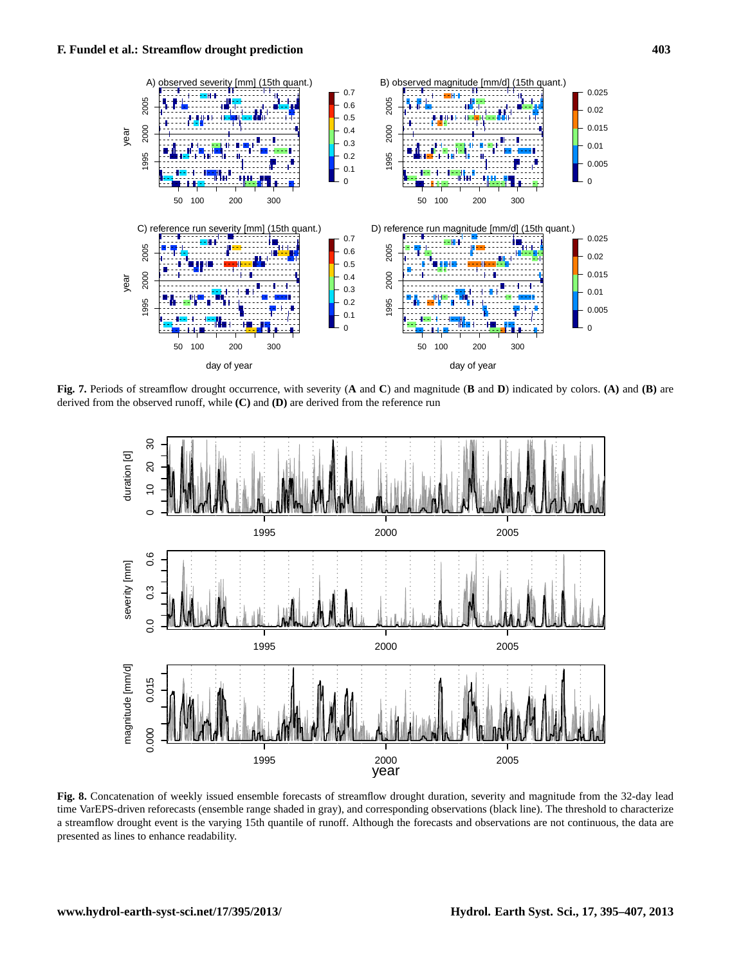

<span id="page-8-0"></span>**Fig. 7.** Periods of streamflow drought occurrence, with severity (**A** and **C**) and magnitude (**B** and **D**) indicated by colors. **(A)** and **(B)** are derived from the observed runoff, while **(C)** and **(D)** are derived from the reference run



<span id="page-8-1"></span>**Fig. 8.** Concatenation of weekly issued ensemble forecasts of streamflow drought duration, severity and magnitude from the 32-day lead time VarEPS-driven reforecasts (ensemble range shaded in gray), and corresponding observations (black line). The threshold to characterize a streamflow drought event is the varying 15th quantile of runoff. Although the forecasts and observations are not continuous, the data are presented as lines to enhance readability.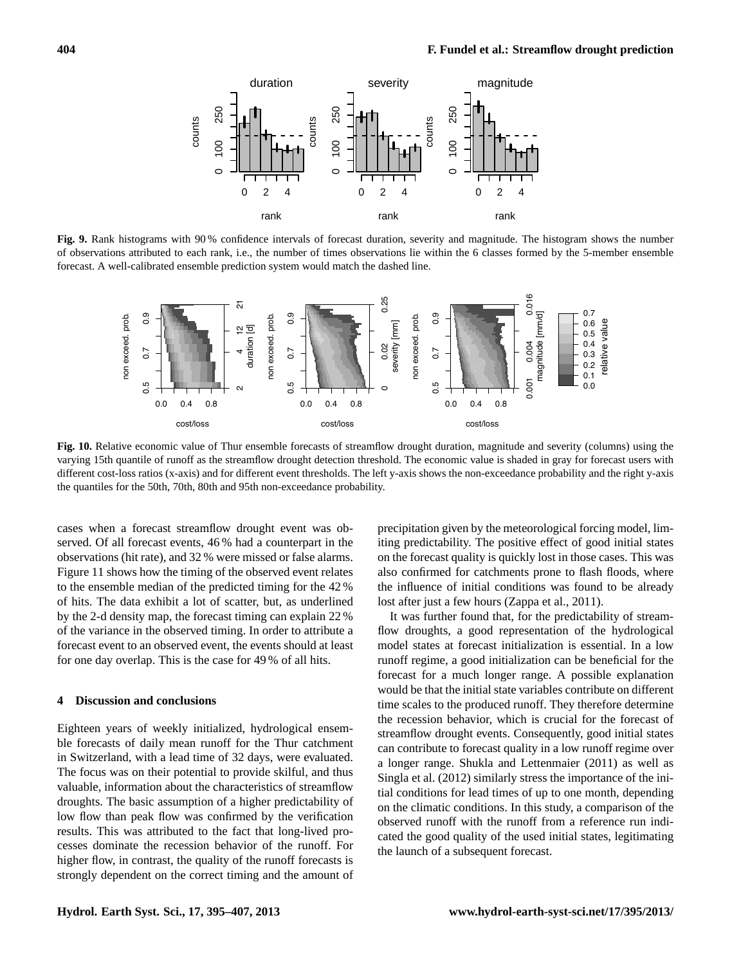

<span id="page-9-0"></span>**Fig. 9.** Rank histograms with 90 % confidence intervals of forecast duration, severity and magnitude. The histogram shows the number of observations attributed to each rank, i.e., the number of times observations lie within the 6 classes formed by the 5-member ensemble forecast. A well-calibrated ensemble prediction system would match the dashed line.



<span id="page-9-1"></span>**Fig. 10.** Relative economic value of Thur ensemble forecasts of streamflow drought duration, magnitude and severity (columns) using the varying 15th quantile of runoff as the streamflow drought detection threshold. The economic value is shaded in gray for forecast users with different cost-loss ratios (x-axis) and for different event thresholds. The left y-axis shows the non-exceedance probability and the right y-axis the quantiles for the 50th, 70th, 80th and 95th non-exceedance probability.

cases when a forecast streamflow drought event was observed. Of all forecast events, 46 % had a counterpart in the observations (hit rate), and 32 % were missed or false alarms. Figure [11](#page-10-0) shows how the timing of the observed event relates to the ensemble median of the predicted timing for the 42 % of hits. The data exhibit a lot of scatter, but, as underlined by the 2-d density map, the forecast timing can explain 22 % of the variance in the observed timing. In order to attribute a forecast event to an observed event, the events should at least for one day overlap. This is the case for 49 % of all hits.

#### **4 Discussion and conclusions**

Eighteen years of weekly initialized, hydrological ensemble forecasts of daily mean runoff for the Thur catchment in Switzerland, with a lead time of 32 days, were evaluated. The focus was on their potential to provide skilful, and thus valuable, information about the characteristics of streamflow droughts. The basic assumption of a higher predictability of low flow than peak flow was confirmed by the verification results. This was attributed to the fact that long-lived processes dominate the recession behavior of the runoff. For higher flow, in contrast, the quality of the runoff forecasts is strongly dependent on the correct timing and the amount of precipitation given by the meteorological forcing model, limiting predictability. The positive effect of good initial states on the forecast quality is quickly lost in those cases. This was also confirmed for catchments prone to flash floods, where the influence of initial conditions was found to be already lost after just a few hours [\(Zappa et al.,](#page-12-26) [2011\)](#page-12-26).

It was further found that, for the predictability of streamflow droughts, a good representation of the hydrological model states at forecast initialization is essential. In a low runoff regime, a good initialization can be beneficial for the forecast for a much longer range. A possible explanation would be that the initial state variables contribute on different time scales to the produced runoff. They therefore determine the recession behavior, which is crucial for the forecast of streamflow drought events. Consequently, good initial states can contribute to forecast quality in a low runoff regime over a longer range. [Shukla and Lettenmaier](#page-12-27) [\(2011\)](#page-12-27) as well as [Singla et al.](#page-12-28) [\(2012\)](#page-12-28) similarly stress the importance of the initial conditions for lead times of up to one month, depending on the climatic conditions. In this study, a comparison of the observed runoff with the runoff from a reference run indicated the good quality of the used initial states, legitimating the launch of a subsequent forecast.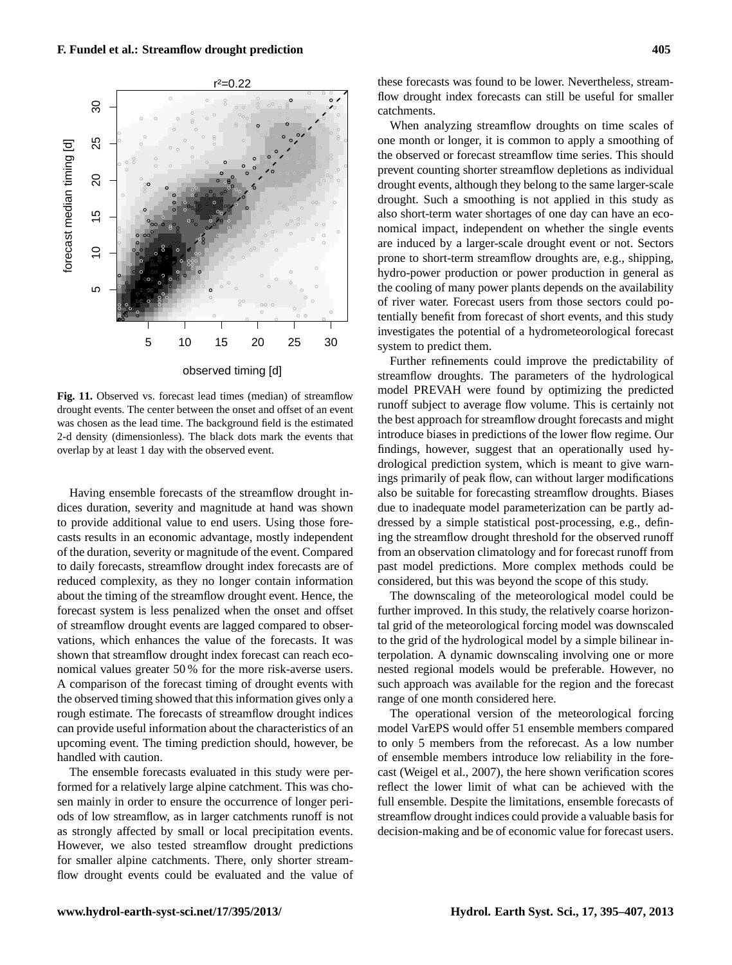

<span id="page-10-0"></span>**Fig. 11.** Observed vs. forecast lead times (median) of streamflow drought events. The center between the onset and offset of an event was chosen as the lead time. The background field is the estimated 2-d density (dimensionless). The black dots mark the events that overlap by at least 1 day with the observed event.

Having ensemble forecasts of the streamflow drought indices duration, severity and magnitude at hand was shown to provide additional value to end users. Using those forecasts results in an economic advantage, mostly independent of the duration, severity or magnitude of the event. Compared to daily forecasts, streamflow drought index forecasts are of reduced complexity, as they no longer contain information about the timing of the streamflow drought event. Hence, the forecast system is less penalized when the onset and offset of streamflow drought events are lagged compared to observations, which enhances the value of the forecasts. It was shown that streamflow drought index forecast can reach economical values greater 50 % for the more risk-averse users. A comparison of the forecast timing of drought events with the observed timing showed that this information gives only a rough estimate. The forecasts of streamflow drought indices can provide useful information about the characteristics of an upcoming event. The timing prediction should, however, be handled with caution.

The ensemble forecasts evaluated in this study were performed for a relatively large alpine catchment. This was chosen mainly in order to ensure the occurrence of longer periods of low streamflow, as in larger catchments runoff is not as strongly affected by small or local precipitation events. However, we also tested streamflow drought predictions for smaller alpine catchments. There, only shorter streamflow drought events could be evaluated and the value of these forecasts was found to be lower. Nevertheless, streamflow drought index forecasts can still be useful for smaller catchments.

When analyzing streamflow droughts on time scales of one month or longer, it is common to apply a smoothing of the observed or forecast streamflow time series. This should prevent counting shorter streamflow depletions as individual drought events, although they belong to the same larger-scale drought. Such a smoothing is not applied in this study as also short-term water shortages of one day can have an economical impact, independent on whether the single events are induced by a larger-scale drought event or not. Sectors prone to short-term streamflow droughts are, e.g., shipping, hydro-power production or power production in general as the cooling of many power plants depends on the availability of river water. Forecast users from those sectors could potentially benefit from forecast of short events, and this study investigates the potential of a hydrometeorological forecast system to predict them.

Further refinements could improve the predictability of streamflow droughts. The parameters of the hydrological model PREVAH were found by optimizing the predicted runoff subject to average flow volume. This is certainly not the best approach for streamflow drought forecasts and might introduce biases in predictions of the lower flow regime. Our findings, however, suggest that an operationally used hydrological prediction system, which is meant to give warnings primarily of peak flow, can without larger modifications also be suitable for forecasting streamflow droughts. Biases due to inadequate model parameterization can be partly addressed by a simple statistical post-processing, e.g., defining the streamflow drought threshold for the observed runoff from an observation climatology and for forecast runoff from past model predictions. More complex methods could be considered, but this was beyond the scope of this study.

The downscaling of the meteorological model could be further improved. In this study, the relatively coarse horizontal grid of the meteorological forcing model was downscaled to the grid of the hydrological model by a simple bilinear interpolation. A dynamic downscaling involving one or more nested regional models would be preferable. However, no such approach was available for the region and the forecast range of one month considered here.

The operational version of the meteorological forcing model VarEPS would offer 51 ensemble members compared to only 5 members from the reforecast. As a low number of ensemble members introduce low reliability in the forecast [\(Weigel et al.,](#page-12-29) [2007\)](#page-12-29), the here shown verification scores reflect the lower limit of what can be achieved with the full ensemble. Despite the limitations, ensemble forecasts of streamflow drought indices could provide a valuable basis for decision-making and be of economic value for forecast users.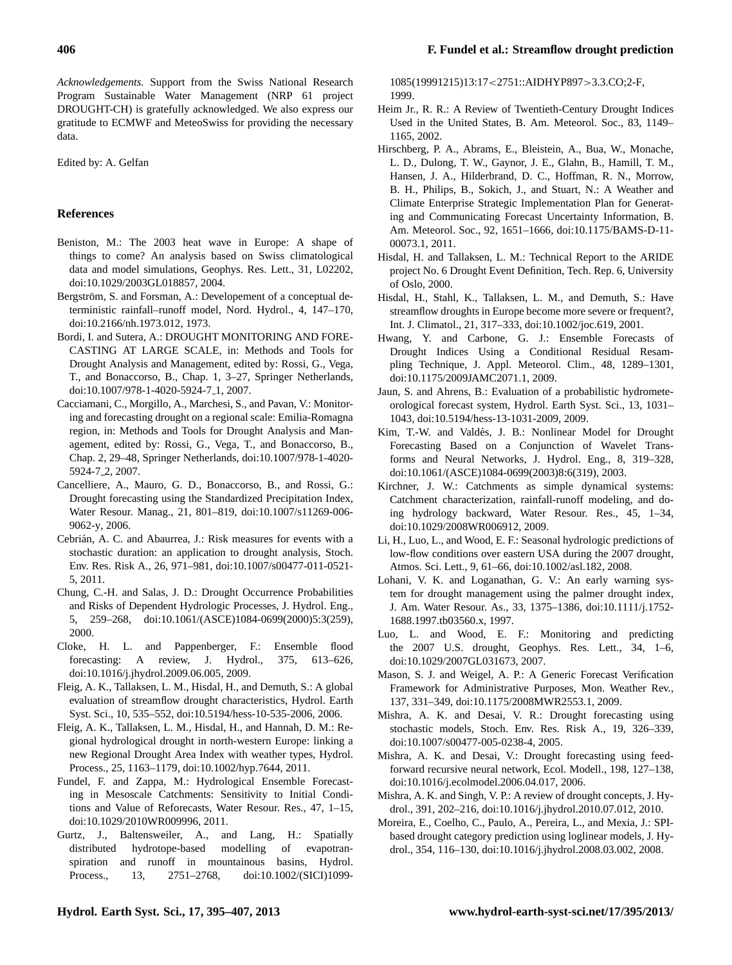*Acknowledgements.* Support from the Swiss National Research Program Sustainable Water Management (NRP 61 project DROUGHT-CH) is gratefully acknowledged. We also express our gratitude to ECMWF and MeteoSwiss for providing the necessary data.

Edited by: A. Gelfan

#### **References**

- <span id="page-11-27"></span>Beniston, M.: The 2003 heat wave in Europe: A shape of things to come? An analysis based on Swiss climatological data and model simulations, Geophys. Res. Lett., 31, L02202, [doi:10.1029/2003GL018857,](http://dx.doi.org/10.1029/2003GL018857) 2004.
- <span id="page-11-20"></span>Bergström, S. and Forsman, A.: Developement of a conceptual deterministic rainfall–runoff model, Nord. Hydrol., 4, 147–170, [doi:10.2166/nh.1973.012,](http://dx.doi.org/10.2166/nh.1973.012) 1973.
- <span id="page-11-6"></span>Bordi, I. and Sutera, A.: DROUGHT MONITORING AND FORE-CASTING AT LARGE SCALE, in: Methods and Tools for Drought Analysis and Management, edited by: Rossi, G., Vega, T., and Bonaccorso, B., Chap. 1, 3–27, Springer Netherlands, [doi:10.1007/978-1-4020-5924-7](http://dx.doi.org/10.1007/978-1-4020-5924-7_1) 1, 2007.
- <span id="page-11-12"></span>Cacciamani, C., Morgillo, A., Marchesi, S., and Pavan, V.: Monitoring and forecasting drought on a regional scale: Emilia-Romagna region, in: Methods and Tools for Drought Analysis and Management, edited by: Rossi, G., Vega, T., and Bonaccorso, B., Chap. 2, 29–48, Springer Netherlands, [doi:10.1007/978-1-4020-](http://dx.doi.org/10.1007/978-1-4020-5924-7_2) [5924-7](http://dx.doi.org/10.1007/978-1-4020-5924-7_2) 2, 2007.
- <span id="page-11-10"></span>Cancelliere, A., Mauro, G. D., Bonaccorso, B., and Rossi, G.: Drought forecasting using the Standardized Precipitation Index, Water Resour. Manag., 21, 801–819, [doi:10.1007/s11269-006-](http://dx.doi.org/10.1007/s11269-006-9062-y) [9062-y,](http://dx.doi.org/10.1007/s11269-006-9062-y) 2006.
- <span id="page-11-2"></span>Cebrián, A. C. and Abaurrea, J.: Risk measures for events with a stochastic duration: an application to drought analysis, Stoch. Env. Res. Risk A., 26, 971–981, [doi:10.1007/s00477-011-0521-](http://dx.doi.org/10.1007/s00477-011-0521-5) [5,](http://dx.doi.org/10.1007/s00477-011-0521-5) 2011.
- <span id="page-11-4"></span>Chung, C.-H. and Salas, J. D.: Drought Occurrence Probabilities and Risks of Dependent Hydrologic Processes, J. Hydrol. Eng., 5, 259–268, [doi:10.1061/\(ASCE\)1084-0699\(2000\)5:3\(259\),](http://dx.doi.org/10.1061/(ASCE)1084-0699(2000)5:3(259)) 2000.
- <span id="page-11-17"></span>Cloke, H. L. and Pappenberger, F.: Ensemble flood forecasting: A review, J. Hydrol., 375, 613–626, [doi:10.1016/j.jhydrol.2009.06.005,](http://dx.doi.org/10.1016/j.jhydrol.2009.06.005) 2009.
- <span id="page-11-23"></span>Fleig, A. K., Tallaksen, L. M., Hisdal, H., and Demuth, S.: A global evaluation of streamflow drought characteristics, Hydrol. Earth Syst. Sci., 10, 535–552, [doi:10.5194/hess-10-535-2006,](http://dx.doi.org/10.5194/hess-10-535-2006) 2006.
- <span id="page-11-9"></span>Fleig, A. K., Tallaksen, L. M., Hisdal, H., and Hannah, D. M.: Regional hydrological drought in north-western Europe: linking a new Regional Drought Area Index with weather types, Hydrol. Process., 25, 1163–1179, [doi:10.1002/hyp.7644,](http://dx.doi.org/10.1002/hyp.7644) 2011.
- <span id="page-11-16"></span>Fundel, F. and Zappa, M.: Hydrological Ensemble Forecasting in Mesoscale Catchments: Sensitivity to Initial Conditions and Value of Reforecasts, Water Resour. Res., 47, 1–15, [doi:10.1029/2010WR009996,](http://dx.doi.org/10.1029/2010WR009996) 2011.
- <span id="page-11-18"></span>Gurtz, J., Baltensweiler, A., and Lang, H.: Spatially distributed hydrotope-based modelling of evapotranspiration and runoff in mountainous basins, Hydrol. Process., 13, 2751–2768, [doi:10.1002/\(SICI\)1099-](http://dx.doi.org/10.1002/(SICI)1099-1085(19991215)13:17<2751::AIDHYP897>3.3.CO;2-F)

[1085\(19991215\)13:17](http://dx.doi.org/10.1002/(SICI)1099-1085(19991215)13:17<2751::AIDHYP897>3.3.CO;2-F)<2751::AIDHYP897>3.3.CO;2-F, 1999.

- <span id="page-11-0"></span>Heim Jr., R. R.: A Review of Twentieth-Century Drought Indices Used in the United States, B. Am. Meteorol. Soc., 83, 1149– 1165, 2002.
- <span id="page-11-15"></span>Hirschberg, P. A., Abrams, E., Bleistein, A., Bua, W., Monache, L. D., Dulong, T. W., Gaynor, J. E., Glahn, B., Hamill, T. M., Hansen, J. A., Hilderbrand, D. C., Hoffman, R. N., Morrow, B. H., Philips, B., Sokich, J., and Stuart, N.: A Weather and Climate Enterprise Strategic Implementation Plan for Generating and Communicating Forecast Uncertainty Information, B. Am. Meteorol. Soc., 92, 1651–1666, [doi:10.1175/BAMS-D-11-](http://dx.doi.org/10.1175/BAMS-D-11-00073.1) [00073.1,](http://dx.doi.org/10.1175/BAMS-D-11-00073.1) 2011.
- <span id="page-11-21"></span>Hisdal, H. and Tallaksen, L. M.: Technical Report to the ARIDE project No. 6 Drought Event Definition, Tech. Rep. 6, University of Oslo, 2000.
- <span id="page-11-22"></span>Hisdal, H., Stahl, K., Tallaksen, L. M., and Demuth, S.: Have streamflow droughts in Europe become more severe or frequent?, Int. J. Climatol., 21, 317–333, [doi:10.1002/joc.619,](http://dx.doi.org/10.1002/joc.619) 2001.
- <span id="page-11-11"></span>Hwang, Y. and Carbone, G. J.: Ensemble Forecasts of Drought Indices Using a Conditional Residual Resampling Technique, J. Appl. Meteorol. Clim., 48, 1289–1301, [doi:10.1175/2009JAMC2071.1,](http://dx.doi.org/10.1175/2009JAMC2071.1) 2009.
- <span id="page-11-19"></span>Jaun, S. and Ahrens, B.: Evaluation of a probabilistic hydrometeorological forecast system, Hydrol. Earth Syst. Sci., 13, 1031– 1043, [doi:10.5194/hess-13-1031-2009,](http://dx.doi.org/10.5194/hess-13-1031-2009) 2009.
- <span id="page-11-7"></span>Kim, T.-W. and Valdés, J. B.: Nonlinear Model for Drought Forecasting Based on a Conjunction of Wavelet Transforms and Neural Networks, J. Hydrol. Eng., 8, 319–328, [doi:10.1061/\(ASCE\)1084-0699\(2003\)8:6\(319\),](http://dx.doi.org/10.1061/(ASCE)1084-0699(2003)8:6(319)) 2003.
- <span id="page-11-26"></span>Kirchner, J. W.: Catchments as simple dynamical systems: Catchment characterization, rainfall-runoff modeling, and doing hydrology backward, Water Resour. Res., 45, 1–34, [doi:10.1029/2008WR006912,](http://dx.doi.org/10.1029/2008WR006912) 2009.
- <span id="page-11-13"></span>Li, H., Luo, L., and Wood, E. F.: Seasonal hydrologic predictions of low-flow conditions over eastern USA during the 2007 drought, Atmos. Sci. Lett., 9, 61–66, [doi:10.1002/asl.182,](http://dx.doi.org/10.1002/asl.182) 2008.
- <span id="page-11-3"></span>Lohani, V. K. and Loganathan, G. V.: An early warning system for drought management using the palmer drought index, J. Am. Water Resour. As., 33, 1375–1386, [doi:10.1111/j.1752-](http://dx.doi.org/10.1111/j.1752-1688.1997.tb03560.x) [1688.1997.tb03560.x,](http://dx.doi.org/10.1111/j.1752-1688.1997.tb03560.x) 1997.
- <span id="page-11-14"></span>Luo, L. and Wood, E. F.: Monitoring and predicting the 2007 U.S. drought, Geophys. Res. Lett., 34, 1–6, [doi:10.1029/2007GL031673,](http://dx.doi.org/10.1029/2007GL031673) 2007.
- <span id="page-11-25"></span>Mason, S. J. and Weigel, A. P.: A Generic Forecast Verification Framework for Administrative Purposes, Mon. Weather Rev., 137, 331–349, [doi:10.1175/2008MWR2553.1,](http://dx.doi.org/10.1175/2008MWR2553.1) 2009.
- <span id="page-11-5"></span>Mishra, A. K. and Desai, V. R.: Drought forecasting using stochastic models, Stoch. Env. Res. Risk A., 19, 326–339, [doi:10.1007/s00477-005-0238-4,](http://dx.doi.org/10.1007/s00477-005-0238-4) 2005.
- <span id="page-11-8"></span>Mishra, A. K. and Desai, V.: Drought forecasting using feedforward recursive neural network, Ecol. Modell., 198, 127–138, [doi:10.1016/j.ecolmodel.2006.04.017,](http://dx.doi.org/10.1016/j.ecolmodel.2006.04.017) 2006.
- <span id="page-11-24"></span>Mishra, A. K. and Singh, V. P.: A review of drought concepts, J. Hydrol., 391, 202–216, [doi:10.1016/j.jhydrol.2010.07.012,](http://dx.doi.org/10.1016/j.jhydrol.2010.07.012) 2010.
- <span id="page-11-1"></span>Moreira, E., Coelho, C., Paulo, A., Pereira, L., and Mexia, J.: SPIbased drought category prediction using loglinear models, J. Hydrol., 354, 116–130, [doi:10.1016/j.jhydrol.2008.03.002,](http://dx.doi.org/10.1016/j.jhydrol.2008.03.002) 2008.